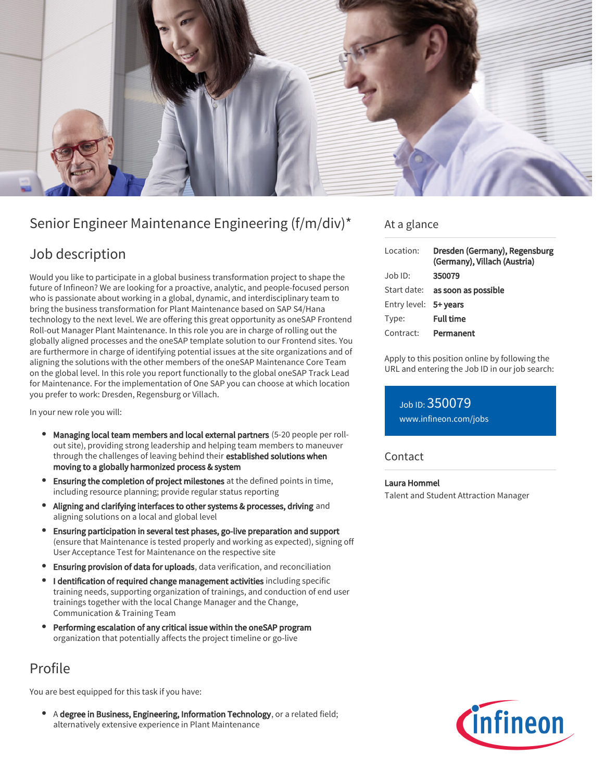

# Senior Engineer Maintenance Engineering (f/m/div)\*

### Job description

Would you like to participate in a global business transformation project to shape the future of Infineon? We are looking for a proactive, analytic, and people-focused person who is passionate about working in a global, dynamic, and interdisciplinary team to bring the business transformation for Plant Maintenance based on SAP S4/Hana technology to the next level. We are offering this great opportunity as oneSAP Frontend Roll-out Manager Plant Maintenance. In this role you are in charge of rolling out the globally aligned processes and the oneSAP template solution to our Frontend sites. You are furthermore in charge of identifying potential issues at the site organizations and of aligning the solutions with the other members of the oneSAP Maintenance Core Team on the global level. In this role you report functionally to the global oneSAP Track Lead for Maintenance. For the implementation of One SAP you can choose at which location you prefer to work: Dresden, Regensburg or Villach.

In your new role you will:

- Managing local team members and local external partners (5-20 people per rollout site), providing strong leadership and helping team members to maneuver through the challenges of leaving behind their established solutions when moving to a globally harmonized process & system
- Ensuring the completion of project milestones at the defined points in time, including resource planning; provide regular status reporting
- Aligning and clarifying interfaces to other systems & processes, driving and aligning solutions on a local and global level
- Ensuring participation in several test phases, go-live preparation and support (ensure that Maintenance is tested properly and working as expected), signing off User Acceptance Test for Maintenance on the respective site
- **Ensuring provision of data for uploads**, data verification, and reconciliation
- I dentification of required change management activities including specific training needs, supporting organization of trainings, and conduction of end user trainings together with the local Change Manager and the Change, Communication & Training Team
- Performing escalation of any critical issue within the oneSAP program organization that potentially affects the project timeline or go-live

# Profile

You are best equipped for this task if you have:

A degree in Business, Engineering, Information Technology, or a related field; alternatively extensive experience in Plant Maintenance

### At a glance

| Location:             | Dresden (Germany), Regensburg<br>(Germany), Villach (Austria) |
|-----------------------|---------------------------------------------------------------|
| $Job$ ID:             | 350079                                                        |
| Start date:           | as soon as possible                                           |
| Entry level: 5+ years |                                                               |
| Type:                 | <b>Full time</b>                                              |
| Contract:             | Permanent                                                     |

Apply to this position online by following the URL and entering the Job ID in our job search:

### Job ID: 350079

[www.infineon.com/jobs](https://www.infineon.com/jobs)

#### Contact

### Laura Hommel

Talent and Student Attraction Manager